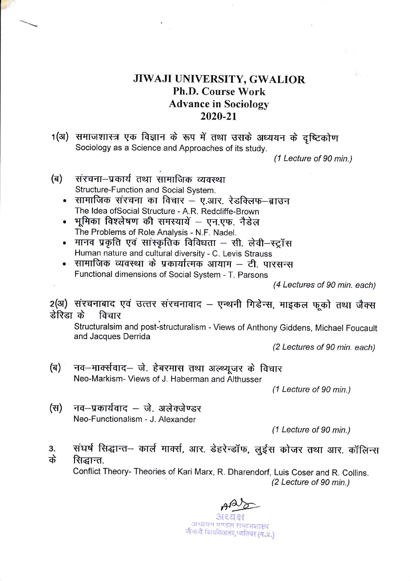## JIWAJI UNIVERSITY, GWALIOR Ph.D. Course Work Advance in Sociology 2020-21

1(अ) समाजशास्त्र एक विज्ञान के रूप में तथा उसके अध्ययन के दृष्टिकोण Sociology as a Science and Approaches of its study.

(1 Lecture of 90 min.)

- (e) संरचना–प्रकार्य तथा सामाजिक व्यवस्था<br>Structure-Function and Social System.
	- सामाजिक संरचना का विचार ए.आर. रेडक्लिफ-ब्राउन  $\bullet$ The ldea ofSocial Structure - A.R. Redcliffe-Brown
	- भूमिका विश्लेषण की समस्यायें एन.एफ. नैडेल The Problems of Role Analysis - N.F. Nadel.
	- मानव प्रकृति एवं सांस्कृतिक विविधता सी. लेवी–स्ट्रॉस Human nature and cultural diversity - C. Levis Strauss
	- . Trainan nature and callara alversity or Ecvis officials<br>• सामाजिक व्यवस्था के प्रकार्यात्मक आयाम टी. पारसन्स Functional dimensions of Social System - T. Parsons

(4 Lectures of g0 min. each)

2(अ) संरचनाबाद एवं उत्तर संरचनावाद – एन्थनी गिडेन्स, माइकल फूको तथा जैक्स<br>रेटिक से दिवाद zिज) संस्थनाबाद<br>डेरिडा के विचार

structuralsim and post-structuralism - Views of Anthony Giddens, Michael Foucault and Jacques Derrida

(2 Lectures of 90 min. each)

(ब) नव-मार्क्सवाद- जे. हेबरमास तथा अल्थ्यूजर के विचार Neo-Markism- Views of J. Haberman and Althusser

(1 Lecture of 90 min.)

(स) नव—प्रकार्यवाद — जे. अलेक्जेण्डर Neo-Functionalism - J. Alexander

(1 Lecture of 90 min.)

3. के संघर्ष सिद्धान्त- कार्ल मार्क्स, आर. डेहरेन्डॉफ, लुईस कोजर तथा आर. कॉलिन्स सिद्धान्त.

Conflict Theory- Theories of Kari Marx, R. Dharendorf, Luis Coser and R. Collins. (2 Lecture of 90 min.)

अध्ययन मण्डल समाजशास्त्र जीवाजी विश्वविद्यालय, वालियर (म.प्र.)